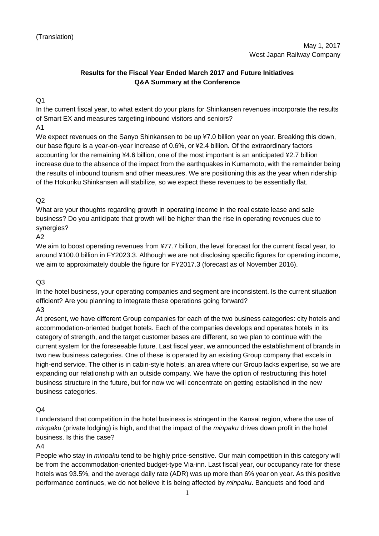## **Results for the Fiscal Year Ended March 2017 and Future Initiatives Q&A Summary at the Conference**

Q1

In the current fiscal year, to what extent do your plans for Shinkansen revenues incorporate the results of Smart EX and measures targeting inbound visitors and seniors?

A1

We expect revenues on the Sanyo Shinkansen to be up ¥7.0 billion year on year. Breaking this down, our base figure is a year-on-year increase of 0.6%, or ¥2.4 billion. Of the extraordinary factors accounting for the remaining ¥4.6 billion, one of the most important is an anticipated ¥2.7 billion increase due to the absence of the impact from the earthquakes in Kumamoto, with the remainder being the results of inbound tourism and other measures. We are positioning this as the year when ridership of the Hokuriku Shinkansen will stabilize, so we expect these revenues to be essentially flat.

## $O<sub>2</sub>$

What are your thoughts regarding growth in operating income in the real estate lease and sale business? Do you anticipate that growth will be higher than the rise in operating revenues due to synergies?

#### A2

We aim to boost operating revenues from ¥77.7 billion, the level forecast for the current fiscal year, to around ¥100.0 billion in FY2023.3. Although we are not disclosing specific figures for operating income, we aim to approximately double the figure for FY2017.3 (forecast as of November 2016).

#### Q3

In the hotel business, your operating companies and segment are inconsistent. Is the current situation efficient? Are you planning to integrate these operations going forward?

# A3

At present, we have different Group companies for each of the two business categories: city hotels and accommodation-oriented budget hotels. Each of the companies develops and operates hotels in its category of strength, and the target customer bases are different, so we plan to continue with the current system for the foreseeable future. Last fiscal year, we announced the establishment of brands in two new business categories. One of these is operated by an existing Group company that excels in high-end service. The other is in cabin-style hotels, an area where our Group lacks expertise, so we are expanding our relationship with an outside company. We have the option of restructuring this hotel business structure in the future, but for now we will concentrate on getting established in the new business categories.

## $O<sub>4</sub>$

I understand that competition in the hotel business is stringent in the Kansai region, where the use of *minpaku* (private lodging) is high, and that the impact of the *minpaku* drives down profit in the hotel business. Is this the case?

#### A4

People who stay in *minpaku* tend to be highly price-sensitive. Our main competition in this category will be from the accommodation-oriented budget-type Via-inn. Last fiscal year, our occupancy rate for these hotels was 93.5%, and the average daily rate (ADR) was up more than 6% year on year. As this positive performance continues, we do not believe it is being affected by *minpaku*. Banquets and food and